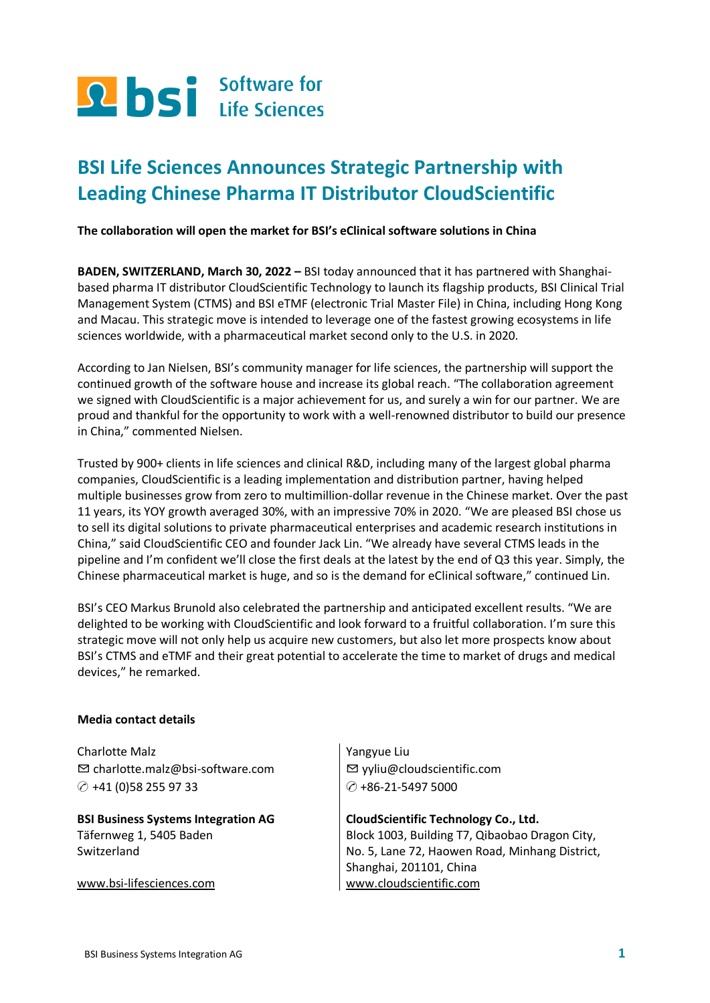

# **BSI Life Sciences Announces Strategic Partnership with Leading Chinese Pharma IT Distributor CloudScientific**

**The collaboration will open the market for BSI's eClinical software solutions in China**

**BADEN, SWITZERLAND, March 30, 2022 –** BSI today announced that it has partnered with Shanghaibased pharma IT distributor CloudScientific Technology to launch its flagship products, BSI Clinical Trial Management System (CTMS) and BSI eTMF (electronic Trial Master File) in China, including Hong Kong and Macau. This strategic move is intended to leverage one of the fastest growing ecosystems in life sciences worldwide, with a pharmaceutical market second only to the U.S. in 2020.

According to Jan Nielsen, BSI's community manager for life sciences, the partnership will support the continued growth of the software house and increase its global reach. "The collaboration agreement we signed with CloudScientific is a major achievement for us, and surely a win for our partner. We are proud and thankful for the opportunity to work with a well-renowned distributor to build our presence in China," commented Nielsen.

Trusted by 900+ clients in life sciences and clinical R&D, including many of the largest global pharma companies, CloudScientific is a leading implementation and distribution partner, having helped multiple businesses grow from zero to multimillion-dollar revenue in the Chinese market. Over the past 11 years, its YOY growth averaged 30%, with an impressive 70% in 2020. "We are pleased BSI chose us to sell its digital solutions to private pharmaceutical enterprises and academic research institutions in China," said CloudScientific CEO and founder Jack Lin. "We already have several CTMS leads in the pipeline and I'm confident we'll close the first deals at the latest by the end of Q3 this year. Simply, the Chinese pharmaceutical market is huge, and so is the demand for eClinical software," continued Lin.

BSI's CEO Markus Brunold also celebrated the partnership and anticipated excellent results. "We are delighted to be working with CloudScientific and look forward to a fruitful collaboration. I'm sure this strategic move will not only help us acquire new customers, but also let more prospects know about BSI's CTMS and eTMF and their great potential to accelerate the time to market of drugs and medical devices," he remarked.

## **Media contact details**

Charlotte Malz ✉ [charlotte.malz@bsi-software.com](mailto:charlotte.malz@bsi-software.com) ✆ +41 (0)58 255 97 33

**BSI Business Systems Integration AG**  Täfernweg 1, 5405 Baden **Switzerland** 

[www.bsi-lifesciences.com](http://www.bsi-lifesciences.com/)

Yangyue Liu ✉ yyliu@cloudscientific.com ✆ +86-21-5497 5000

#### **CloudScientific Technology Co., Ltd.**

Block 1003, Building T7, Qibaobao Dragon City, No. 5, Lane 72, Haowen Road, Minhang District, Shanghai, 201101, China [www.cloudscientific.com](http://www.cloudscientific.com/)